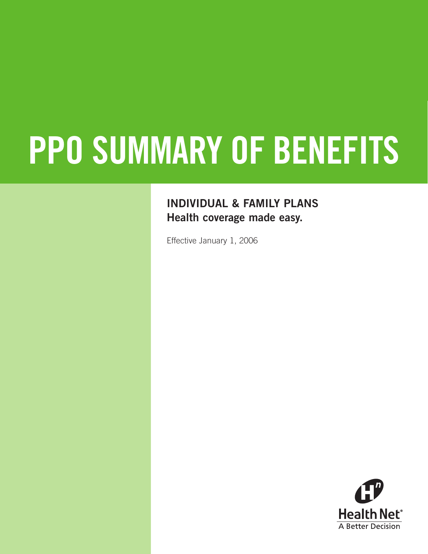# **PPO SUMMARY OF BENEFITS**

## **INDIVIDUAL & FAMILY PLANS Health coverage made easy.**

Effective January 1, 2006

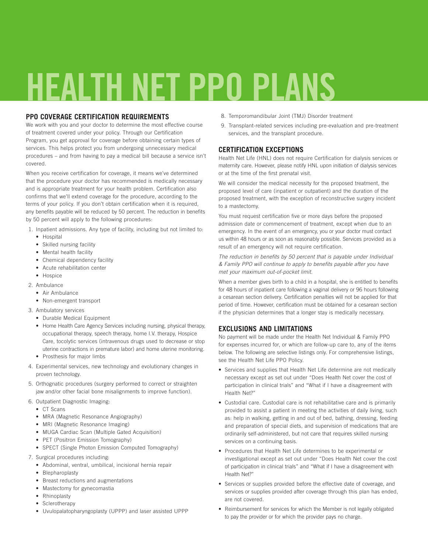## **HEALTH NET PPO PLANS**

#### **PPO COVERAGE CERTIFICATION REQUIREMENTS**

We work with you and your doctor to determine the most effective course of treatment covered under your policy. Through our Certification Program, you get approval for coverage before obtaining certain types of services. This helps protect you from undergoing unnecessary medical procedures – and from having to pay a medical bill because a service isn't covered.

When you receive certification for coverage, it means we've determined that the procedure your doctor has recommended is medically necessary and is appropriate treatment for your health problem. Certification also confirms that we'll extend coverage for the procedure, according to the terms of your policy. If you don't obtain certification when it is required, any benefits payable will be reduced by 50 percent. The reduction in benefits by 50 percent will apply to the following procedures:

- 1. Inpatient admissions. Any type of facility, including but not limited to:
	- Hospital
	- Skilled nursing facility
	- Mental health facility
	- Chemical dependency facility
	- Acute rehabilitation center
	- Hospice
- 2. Ambulance
	- Air Ambulance
	- Non-emergent transport
- 3. Ambulatory services
	- Durable Medical Equipment
	- Home Health Care Agency Services including nursing, physical therapy, occupational therapy, speech therapy, home I.V. therapy, Hospice Care, tocolytic services (intravenous drugs used to decrease or stop uterine contractions in premature labor) and home uterine monitoring. • Prosthesis for major limbs
- 4. Experimental services, new technology and evolutionary changes in proven technology.
- 5. Orthognatic procedures (surgery performed to correct or straighten jaw and/or other facial bone misalignments to improve function).
- 6. Outpatient Diagnostic Imaging:
	- CT Scans
	- MRA (Magnetic Resonance Angiography)
	- MRI (Magnetic Resonance Imaging)
	- MUGA Cardiac Scan (Multiple Gated Acquisition)
	- PET (Positron Emission Tomography)
	- SPECT (Single Photon Emission Computed Tomography)
- 7. Surgical procedures including:
	- Abdominal, ventral, umbilical, incisional hernia repair
	- Blepharoplasty
	- Breast reductions and augmentations
	- Mastectomy for gynecomastia
	- Rhinoplasty
	- Sclerotherapy
	- Uvulopalatopharyngoplasty (UPPP) and laser assisted UPPP
- 8. Temporomandibular Joint (TMJ) Disorder treatment
- 9. Transplant-related services including pre-evaluation and pre-treatment services, and the transplant procedure.

#### **CERTIFICATION EXCEPTIONS**

Health Net Life (HNL) does not require Certification for dialysis services or maternity care. However, please notify HNL upon initiation of dialysis services or at the time of the first prenatal visit.

We will consider the medical necessity for the proposed treatment, the proposed level of care (inpatient or outpatient) and the duration of the proposed treatment, with the exception of reconstructive surgery incident to a mastectomy.

You must request certification five or more days before the proposed admission date or commencement of treatment, except when due to an emergency. In the event of an emergency, you or your doctor must contact us within 48 hours or as soon as reasonably possible. Services provided as a result of an emergency will not require certification.

*The reduction in benefits by 50 percent that is payable under Individual & Family PPO will continue to apply to benefits payable after you have met your maximum out-of-pocket limit.*

When a member gives birth to a child in a hospital, she is entitled to benefits for 48 hours of inpatient care following a vaginal delivery or 96 hours following a cesarean section delivery. Certification penalties will not be applied for that period of time. However, certification must be obtained for a cesarean section if the physician determines that a longer stay is medically necessary.

#### **EXCLUSIONS AND LIMITATIONS**

No payment will be made under the Health Net Individual & Family PPO for expenses incurred for, or which are follow-up care to, any of the items below. The following are selective listings only. For comprehensive listings, see the Health Net Life PPO Policy.

- Services and supplies that Health Net Life determine are not medically necessary except as set out under "Does Health Net cover the cost of participation in clinical trials" and "What if I have a disagreement with Health Net?"
- Custodial care. Custodial care is not rehabilitative care and is primarily provided to assist a patient in meeting the activities of daily living, such as: help in walking, getting in and out of bed, bathing, dressing, feeding and preparation of special diets, and supervision of medications that are ordinarily self-administered, but not care that requires skilled nursing services on a continuing basis.
- Procedures that Health Net Life determines to be experimental or investigational except as set out under "Does Health Net cover the cost of participation in clinical trials" and "What if I have a disagreement with Health Net?"
- Services or supplies provided before the effective date of coverage, and services or supplies provided after coverage through this plan has ended, are not covered.
- Reimbursement for services for which the Member is not legally obligated to pay the provider or for which the provider pays no charge.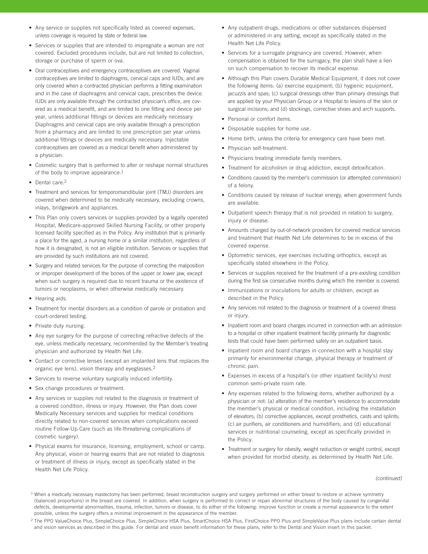- Any service or supplies not specifically listed as covered expenses, unless coverage is required by state or federal law.
- Services or supplies that are intended to impregnate a woman are not covered. Excluded procedures include, but are not limited to collection, storage or purchase of sperm or ova.
- Oral contraceptives and emergency contraceptives are covered. Vaginal contraceptives are limited to diaphragms, cervical caps and IUDs, and are only covered when a contracted physician performs a fitting examination and in the case of diaphragms and cervical caps, prescribes the device. IUDs are only available through the contracted physician's office, are covered as a medical benefit, and are limited to one fitting and device per year, unless additional fittings or devices are medically necessary. Diaphragms and cervical caps are only available through a prescription from a pharmacy and are limited to one prescription per year unless additional fittings or devices are medically necessary. Injectable contraceptives are covered as a medical benefit when administered by a physician.
- Cosmetic surgery that is performed to alter or reshape normal structures of the body to improve appearance.<sup>1</sup>
- Dental care.2
- Treatment and services for temporomandibular joint (TMJ) disorders are covered when determined to be medically necessary, excluding crowns, inlays, bridgework and appliances.
- This Plan only covers services or supplies provided by a legally operated Hospital, Medicare-approved Skilled Nursing Facility, or other properly licensed facility specified as in the Policy. Any institution that is primarily a place for the aged, a nursing home or a similar institution, regardless of how it is designated, is not an eligible institution. Services or supplies that are provided by such institutions are not covered.
- Surgery and related services for the purpose of correcting the malposition or improper development of the bones of the upper or lower jaw, except when such surgery is required due to recent trauma or the existence of tumors or neoplasms, or when otherwise medically necessary.
- Hearing aids.
- Treatment for mental disorders as a condition of parole or probation and court-ordered testing.
- Private duty nursing.
- Any eye surgery for the purpose of correcting refractive defects of the eye, unless medically necessary, recommended by the Member's treating physician and authorized by Health Net Life.
- Contact or corrective lenses (except an implanted lens that replaces the organic eye lens), vision therapy and eyeglasses.2
- Services to reverse voluntary surgically induced infertility.
- Sex change procedures or treatment.
- Any services or supplies not related to the diagnosis or treatment of a covered condition, illness or injury. However, the Plan does cover Medically Necessary services and supplies for medical conditions directly related to non-covered services when complications exceed routine Follow-Up Care (such as life-threatening complications of cosmetic surgery).
- Physical exams for insurance, licensing, employment, school or camp. Any physical, vision or hearing exams that are not related to diagnosis or treatment of illness or injury, except as specifically stated in the Health Net Life Policy.
- Any outpatient drugs, medications or other substances dispensed or administered in any setting, except as specifically stated in the Health Net Life Policy.
- Services for a surrogate pregnancy are covered. However, when compensation is obtained for the surrogacy, the plan shall have a lien on such compensation to recover its medical expense.
- Although this Plan covers Durable Medical Equipment, it does not cover the following items: (a) exercise equipment; (b) hygienic equipment, jacuzzis and spas; (c) surgical dressings other than primary dressings that are applied by your Physician Group or a Hospital to lesions of the skin or surgical incisions; and (d) stockings, corrective shoes and arch supports.
- Personal or comfort items.
- Disposable supplies for home use.
- Home birth, unless the criteria for emergency care have been met.
- Physician self-treatment.
- Physicians treating immediate family members.
- Treatment for alcoholism or drug addiction, except detoxification.
- Conditions caused by the member's commission (or attempted commission) of a felony.
- Conditions caused by release of nuclear energy, when government funds are available.
- Outpatient speech therapy that is not provided in relation to surgery, injury or disease.
- Amounts charged by out-of-network providers for covered medical services and treatment that Health Net Life determines to be in excess of the covered expense.
- Optometric services, eye exercises including orthoptics, except as specifically stated elsewhere in the Policy.
- Services or supplies received for the treatment of a pre-existing condition during the first six consecutive months during which the member is covered.
- Immunizations or inoculations for adults or children, except as described in the Policy.
- Any services not related to the diagnosis or treatment of a covered illness or injury.
- Inpatient room and board charges incurred in connection with an admission to a hospital or other inpatient treatment facility primarily for diagnostic tests that could have been performed safely on an outpatient basis.
- Inpatient room and board charges in connection with a hospital stay primarily for environmental change, physical therapy or treatment of chronic pain.
- Expenses in excess of a hospital's (or other inpatient facility's) most common semi-private room rate.
- Any expenses related to the following items, whether authorized by a physician or not: (a) alteration of the member's residence to accommodate the member's physical or medical condition, including the installation of elevators; (b) corrective appliances, except prosthetics, casts and splints; (c) air purifiers, air conditioners and humidifiers; and (d) educational services or nutritional counseling, except as specifically provided in the Policy.
- Treatment or surgery for obesity, weight reduction or weight control, except when provided for morbid obesity, as determined by Health Net Life.

*(continued)*

<sup>&</sup>lt;sup>1</sup> When a medically necessary mastectomy has been performed, breast reconstruction surgery and surgery performed on either breast to restore or achieve symmetry (balanced proportions) in the breast are covered. In addition, when surgery is performed to correct or repair abnormal structures of the body caused by congenital defects, developmental abnormalities, trauma, infection, tumors or disease, to do either of the following: improve function or create a normal appearance to the extent possible, unless the surgery offers a minimal improvement in the appearance of the member.

<sup>&</sup>lt;sup>2</sup> The PPO ValueChoice Plus, SimpleChoice Plus, SimpleChoice HSA Plus, SmartChoice HSA Plus, FirstChoice PPO Plus and SimpleValue Plus plans include certain dental and vision services as described in this guide. For dental and vision benefit information for these plans, refer to the Dental and Vision insert in this packet.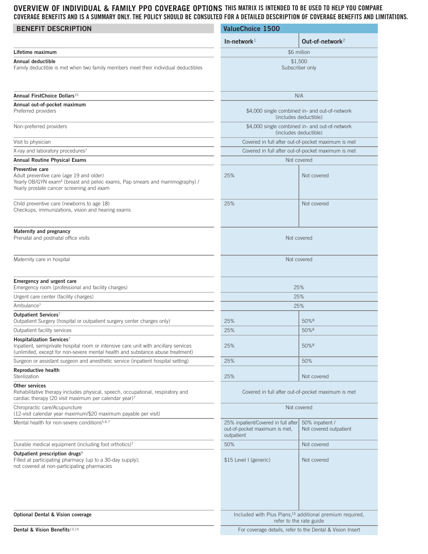#### **OVERVIEW OF INDIVIDUAL & FAMILY PPO COVERAGE OPTIONS THIS MATRIX IS INTENDED TO BE USED TO HELP YOU COMPARE COVERAGE BENEFITS AND IS A SUMMARY ONLY. THE POLICY SHOULD BE CONSULTED FOR A DETAILED DESCRIPTION OF COVERAGE BENEFITS AND LIMITATIONS.**

| <b>BENEFIT DESCRIPTION</b>                                                                                                                                                                          | <b>ValueChoice 1500</b>                                                            |                                                                                                 |
|-----------------------------------------------------------------------------------------------------------------------------------------------------------------------------------------------------|------------------------------------------------------------------------------------|-------------------------------------------------------------------------------------------------|
|                                                                                                                                                                                                     | In-network $1$                                                                     | Out-of-network <sup>2</sup>                                                                     |
| Lifetime maximum                                                                                                                                                                                    |                                                                                    | \$6 million                                                                                     |
| <b>Annual deductible</b><br>Family deductible is met when two family members meet their individual deductibles                                                                                      | \$1,500<br>Subscriber only                                                         |                                                                                                 |
| Annual FirstChoice Dollars <sup>10</sup>                                                                                                                                                            |                                                                                    | N/A                                                                                             |
| Annual out-of-pocket maximum                                                                                                                                                                        |                                                                                    |                                                                                                 |
| Preferred providers                                                                                                                                                                                 | \$4,000 single combined in- and out-of-network<br>(includes deductible)            |                                                                                                 |
| Non-preferred providers                                                                                                                                                                             | \$4,000 single combined in- and out-of-network<br>(includes deductible)            |                                                                                                 |
| Visit to physician                                                                                                                                                                                  | Covered in full after out-of-pocket maximum is met                                 |                                                                                                 |
| X-ray and laboratory procedures <sup>7</sup>                                                                                                                                                        | Covered in full after out-of-pocket maximum is met                                 |                                                                                                 |
| <b>Annual Routine Physical Exams</b>                                                                                                                                                                |                                                                                    | Not covered                                                                                     |
| Preventive care<br>Adult preventive care (age 19 and older)<br>Yearly OB/GYN exam <sup>4</sup> (breast and pelvic exams, Pap smears and mammography) /<br>Yearly prostate cancer screening and exam | 25%                                                                                | Not covered                                                                                     |
| Child preventive care (newborns to age 18)<br>Checkups, immunizations, vision and hearing exams                                                                                                     | 25%                                                                                | Not covered                                                                                     |
| Maternity and pregnancy<br>Prenatal and postnatal office visits                                                                                                                                     | Not covered                                                                        |                                                                                                 |
| Maternity care in hospital                                                                                                                                                                          | Not covered                                                                        |                                                                                                 |
| Emergency and urgent care<br>Emergency room (professional and facility charges)                                                                                                                     |                                                                                    | 25%                                                                                             |
| Urgent care center (facility charges)                                                                                                                                                               | 25%                                                                                |                                                                                                 |
| Ambulance <sup>7</sup>                                                                                                                                                                              |                                                                                    | 25%                                                                                             |
| Outpatient Services <sup>7</sup><br>Outpatient Surgery (hospital or outpatient surgery center charges only)                                                                                         | 25%                                                                                | 50%8                                                                                            |
| Outpatient facility services                                                                                                                                                                        | 25%                                                                                | 50%8                                                                                            |
| Hospitalization Services7<br>Inpatient, semiprivate hospital room or intensive care unit with ancillary services<br>(unlimited, except for non-severe mental health and substance abuse treatment)  | 25%                                                                                | 50%8                                                                                            |
| Surgeon or assistant surgeon and anesthetic service (inpatient hospital setting)                                                                                                                    | 25%                                                                                | 50%                                                                                             |
| <b>Reproductive health</b><br>Sterilization                                                                                                                                                         | 25%                                                                                | Not covered                                                                                     |
| <b>Other services</b><br>Rehabilitative therapy includes physical, speech, occupational, respiratory and<br>cardiac therapy (20 visit maximum per calendar year)7                                   | Covered in full after out-of-pocket maximum is met                                 |                                                                                                 |
| Chiropractic care/Acupuncture<br>(12-visit calendar year maximum/\$20 maximum payable per visit)                                                                                                    | Not covered                                                                        |                                                                                                 |
| Mental health for non-severe conditions <sup>5,6,7</sup>                                                                                                                                            | 25% inpatient/Covered in full after<br>out-of-pocket maximum is met,<br>outpatient | 50% inpatient /<br>Not covered outpatient                                                       |
| Durable medical equipment (including foot orthotics)7                                                                                                                                               | 50%                                                                                | Not covered                                                                                     |
| Outpatient prescription drugs <sup>9</sup><br>Filled at participating pharmacy (up to a 30-day supply);<br>not covered at non-participating pharmacies                                              | \$15 Level I (generic)                                                             | Not covered                                                                                     |
| <b>Optional Dental &amp; Vision coverage</b>                                                                                                                                                        |                                                                                    | Included with Plus Plans, <sup>15</sup> additional premium required,<br>refer to the rate guide |
| Dental & Vision Benefits <sup>13,14</sup>                                                                                                                                                           | For coverage details, refer to the Dental & Vision Insert                          |                                                                                                 |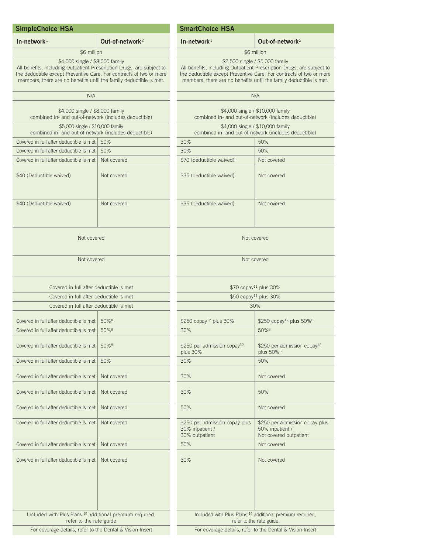#### **SimpleChoice HSA**

Ī

L<br>T

### \$6 million

#### \$4,000 single / \$8,000 family

All benefits, including Outpatient Prescription Drugs, are subject to the deductible except Preventive Care. For contracts of two or more members, there are no benefits until the family deductible is met.

#### **SmartChoice HSA**

#### **In-network**<sup>1</sup> **Out-of-network**<sup>2</sup>

#### \$6 million \$2,500 single / \$5,000 family

All benefits, including Outpatient Prescription Drugs, are subject to the deductible except Preventive Care. For contracts of two or more members, there are no benefits until the family deductible is met.

| N/A                                                                                             |             |               |
|-------------------------------------------------------------------------------------------------|-------------|---------------|
| \$4,000 single / \$8,000 family<br>combined in- and out-of-network (includes deductible)        |             |               |
| \$5,000 single / \$10,000 family<br>combined in- and out-of-network (includes deductible)       |             |               |
| Covered in full after deductible is met                                                         | 50%         | 3             |
| Covered in full after deductible is met                                                         | 50%         | 3             |
| Covered in full after deductible is met                                                         | Not covered | \$            |
| \$40 (Deductible waived)                                                                        | Not covered | $\frac{1}{2}$ |
| \$40 (Deductible waived)                                                                        | Not covered | \$            |
| Not covered                                                                                     |             |               |
| Not covered                                                                                     |             |               |
| Covered in full after deductible is met                                                         |             |               |
| Covered in full after deductible is met                                                         |             |               |
| Covered in full after deductible is met                                                         |             |               |
|                                                                                                 |             |               |
| Covered in full after deductible is met                                                         | 50%8        | $\frac{1}{2}$ |
| Covered in full after deductible is met                                                         | 50%8        | 3             |
| Covered in full after deductible is met                                                         | 50%8        | \$<br>р       |
| Covered in full after deductible is met                                                         | 50%         | 3             |
| Covered in full after deductible is met                                                         | Not covered | 3             |
| Covered in full after deductible is met                                                         | Not covered | 3             |
| Covered in full after deductible is met                                                         | Not covered | 5             |
| Covered in full after deductible is met                                                         | Not covered | \$<br>3<br>3  |
| Covered in full after deductible is met                                                         | Not covered | 5             |
| Covered in full after deductible is met                                                         | Not covered | 3             |
| Included with Plus Plans, <sup>15</sup> additional premium required,<br>refer to the rate guide |             |               |
| For coverage details, refer to the Dental & Vision Insert                                       |             |               |

|                                                                                                 | N/A                                                                         |  |
|-------------------------------------------------------------------------------------------------|-----------------------------------------------------------------------------|--|
| \$4,000 single / \$10,000 family<br>combined in- and out-of-network (includes deductible)       |                                                                             |  |
| \$4,000 single / \$10,000 family<br>combined in- and out-of-network (includes deductible)       |                                                                             |  |
| 30%                                                                                             | 50%                                                                         |  |
| 30%                                                                                             | 50%                                                                         |  |
| \$70 (deductible waived) <sup>3</sup>                                                           | Not covered                                                                 |  |
| \$35 (deductible waived)                                                                        | Not covered                                                                 |  |
| \$35 (deductible waived)                                                                        | Not covered                                                                 |  |
|                                                                                                 | Not covered                                                                 |  |
| Not covered                                                                                     |                                                                             |  |
| \$70 copay <sup>11</sup> plus 30%                                                               |                                                                             |  |
|                                                                                                 | \$50 copay <sup>11</sup> plus 30%                                           |  |
|                                                                                                 | 30%                                                                         |  |
| \$250 copay <sup>12</sup> plus 30%                                                              | \$250 copay <sup>12</sup> plus 50% <sup>8</sup>                             |  |
| 30%                                                                                             | 50%8                                                                        |  |
| \$250 per admission copay <sup>12</sup><br>plus 30%                                             | \$250 per admission copay <sup>12</sup><br>plus 50% <sup>8</sup>            |  |
| 30%                                                                                             | 50%                                                                         |  |
| 30%                                                                                             | Not covered                                                                 |  |
| 30%                                                                                             | 50%                                                                         |  |
| 50%                                                                                             | Not covered                                                                 |  |
| \$250 per admission copay plus<br>30% inpatient /<br>30% outpatient                             | \$250 per admission copay plus<br>50% inpatient /<br>Not covered outpatient |  |
| 50%                                                                                             | Not covered                                                                 |  |
| 30%                                                                                             | Not covered                                                                 |  |
| Included with Plus Plans, <sup>15</sup> additional premium required,<br>refer to the rate guide |                                                                             |  |

For coverage details, refer to the Dental & Vision Insert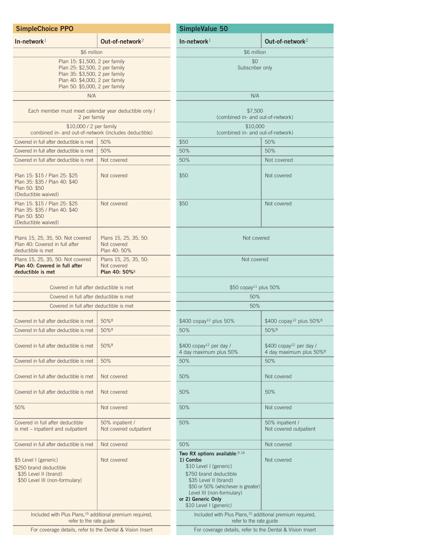| <b>SimpleChoice PPO</b>                                                                                                                                                |                                                                   | SimpleValue 50                                                                                                                                                                                                       |
|------------------------------------------------------------------------------------------------------------------------------------------------------------------------|-------------------------------------------------------------------|----------------------------------------------------------------------------------------------------------------------------------------------------------------------------------------------------------------------|
| In-network <sup>1</sup>                                                                                                                                                | Out-of-network <sup>2</sup>                                       | In-network $1$                                                                                                                                                                                                       |
| \$6 million                                                                                                                                                            |                                                                   |                                                                                                                                                                                                                      |
| Plan 15: \$1,500, 2 per family<br>Plan 25: \$2,500, 2 per family<br>Plan 35: \$3,500, 2 per family<br>Plan 40: \$4,000, 2 per family<br>Plan 50: \$5,000, 2 per family |                                                                   |                                                                                                                                                                                                                      |
| N/A                                                                                                                                                                    |                                                                   |                                                                                                                                                                                                                      |
| Each member must meet calendar year deductible only /<br>2 per family                                                                                                  |                                                                   | (combine                                                                                                                                                                                                             |
| \$10,000 / 2 per family<br>combined in- and out-of-network (includes deductible)                                                                                       |                                                                   | (combine                                                                                                                                                                                                             |
| Covered in full after deductible is met                                                                                                                                | 50%                                                               | \$50                                                                                                                                                                                                                 |
| Covered in full after deductible is met                                                                                                                                | 50%                                                               | 50%                                                                                                                                                                                                                  |
| Covered in full after deductible is met                                                                                                                                | Not covered                                                       | 50%                                                                                                                                                                                                                  |
| Plan 15: \$15 / Plan 25: \$25<br>Plan 35: \$35 / Plan 40: \$40<br>Plan 50: \$50<br>(Deductible waived)                                                                 | Not covered                                                       | \$50                                                                                                                                                                                                                 |
| Plan 15: \$15 / Plan 25: \$25<br>Plan 35: \$35 / Plan 40: \$40<br>Plan 50: \$50<br>(Deductible waived)                                                                 | Not covered                                                       | \$50                                                                                                                                                                                                                 |
| Plans 15, 25, 35, 50: Not covered<br>Plan 40: Covered in full after<br>deductible is met                                                                               | Plans 15, 25, 35, 50:<br>Not covered<br>Plan 40: 50%              |                                                                                                                                                                                                                      |
| Plans 15, 25, 35, 50: Not covered<br>Plan 40: Covered in full after<br>deductible is met                                                                               | Plans 15, 25, 35, 50:<br>Not covered<br>Plan 40: 50% <sup>8</sup> |                                                                                                                                                                                                                      |
| Covered in full after deductible is met                                                                                                                                |                                                                   | \$5                                                                                                                                                                                                                  |
| Covered in full after deductible is met                                                                                                                                |                                                                   |                                                                                                                                                                                                                      |
| Covered in full after deductible is met                                                                                                                                |                                                                   |                                                                                                                                                                                                                      |
| Covered in full after deductible is met                                                                                                                                | 50% <sup>8</sup>                                                  | $$400$ copay <sup>12</sup> plus 50%                                                                                                                                                                                  |
| Covered in full after deductible is met                                                                                                                                | 50%8                                                              | 50%                                                                                                                                                                                                                  |
| Covered in full after deductible is met                                                                                                                                | 50%8                                                              | $$400$ copay <sup>12</sup> per day /<br>4 day maximum plus 509                                                                                                                                                       |
| Covered in full after deductible is met                                                                                                                                | 50%                                                               | 50%                                                                                                                                                                                                                  |
| Covered in full after deductible is met                                                                                                                                | Not covered                                                       | 50%                                                                                                                                                                                                                  |
| Covered in full after deductible is met                                                                                                                                | Not covered                                                       | 50%                                                                                                                                                                                                                  |
| 50%                                                                                                                                                                    | Not covered                                                       | 50%                                                                                                                                                                                                                  |
| Covered in full after deductible<br>is met - inpatient and outpatient                                                                                                  | 50% inpatient /<br>Not covered outpatient                         | 50%                                                                                                                                                                                                                  |
| Covered in full after deductible is met                                                                                                                                | Not covered                                                       | 50%                                                                                                                                                                                                                  |
| \$5 Level I (generic)<br>\$250 brand deductible<br>\$35 Level II (brand)<br>\$50 Level III (non-formulary)                                                             | Not covered                                                       | Two RX options available<br>1) Combo<br>\$10 Level I (generic)<br>\$750 brand deductible<br>\$35 Level II (brand)<br>\$50 or 50% (whicheve<br>Level III (non-formula<br>or 2) Generic Only<br>\$10 Level I (generic) |
| Included with Plus Plans, <sup>15</sup> additional premium required,<br>refer to the rate guide                                                                        |                                                                   | Included with Plus<br>re.                                                                                                                                                                                            |
| For coverage details, refer to the Dental & Vision Insert                                                                                                              |                                                                   | For coverage detail                                                                                                                                                                                                  |

| In-network $\scriptstyle{1}$                                                                                                                                                                                                                 | Out-of-network <sup>2</sup>                                                 |  |
|----------------------------------------------------------------------------------------------------------------------------------------------------------------------------------------------------------------------------------------------|-----------------------------------------------------------------------------|--|
| \$6 million                                                                                                                                                                                                                                  |                                                                             |  |
| \$0<br>Subscriber only                                                                                                                                                                                                                       |                                                                             |  |
| N/A                                                                                                                                                                                                                                          |                                                                             |  |
|                                                                                                                                                                                                                                              |                                                                             |  |
| \$7,500<br>(combined in- and out-of-network)                                                                                                                                                                                                 |                                                                             |  |
| \$10,000<br>(combined in- and out-of-network)                                                                                                                                                                                                |                                                                             |  |
| \$50                                                                                                                                                                                                                                         | 50%                                                                         |  |
| 50%                                                                                                                                                                                                                                          | 50%                                                                         |  |
| 50%                                                                                                                                                                                                                                          | Not covered                                                                 |  |
| \$50                                                                                                                                                                                                                                         | Not covered                                                                 |  |
| \$50                                                                                                                                                                                                                                         | Not covered                                                                 |  |
| Not covered                                                                                                                                                                                                                                  |                                                                             |  |
| Not covered                                                                                                                                                                                                                                  |                                                                             |  |
| \$50 copay <sup>11</sup> plus 50%                                                                                                                                                                                                            |                                                                             |  |
| 50%                                                                                                                                                                                                                                          |                                                                             |  |
| 50%                                                                                                                                                                                                                                          |                                                                             |  |
| \$400 copay <sup>12</sup> plus 50%                                                                                                                                                                                                           | \$400 copay <sup>12</sup> plus 50% <sup>8</sup>                             |  |
| 50%                                                                                                                                                                                                                                          | 50%8                                                                        |  |
| $$400$ copay <sup>12</sup> per day /<br>4 day maximum plus 50%                                                                                                                                                                               | $$400$ copay <sup>12</sup> per day /<br>4 day maximum plus 50% <sup>8</sup> |  |
| 50%                                                                                                                                                                                                                                          | 50%                                                                         |  |
| 50%                                                                                                                                                                                                                                          | Not covered                                                                 |  |
| 50%                                                                                                                                                                                                                                          | 50%                                                                         |  |
| 50%                                                                                                                                                                                                                                          | Not covered                                                                 |  |
| 50%                                                                                                                                                                                                                                          | 50% inpatient /<br>Not covered outpatient                                   |  |
| 50%                                                                                                                                                                                                                                          | Not covered                                                                 |  |
| Two RX options available: $9,16$<br>1) Combo<br>\$10 Level I (generic)<br>\$750 brand deductible<br>\$35 Level II (brand)<br>\$50 or 50% (whichever is greater)<br>Level III (non-formulary)<br>or 2) Generic Only<br>\$10 Level I (generic) | Not covered                                                                 |  |
| Included with Plus Plans, <sup>15</sup> additional premium required,<br>refer to the rate guide                                                                                                                                              |                                                                             |  |
| For coverage details, refer to the Dental & Vision Insert                                                                                                                                                                                    |                                                                             |  |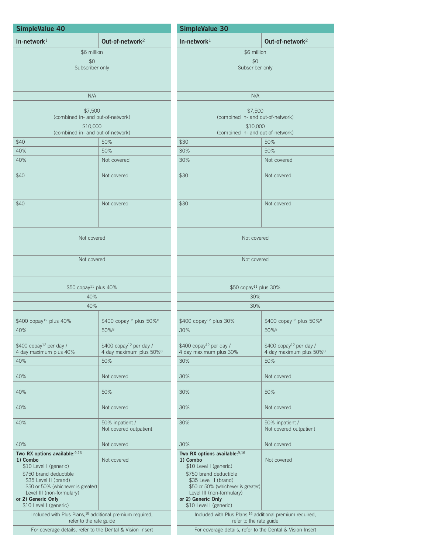| SimpleValue 40                                                                                                                                                                                                                             |                                                                            | SimpleValue 30                                                                                                                                                                                                                             |                                                                            |
|--------------------------------------------------------------------------------------------------------------------------------------------------------------------------------------------------------------------------------------------|----------------------------------------------------------------------------|--------------------------------------------------------------------------------------------------------------------------------------------------------------------------------------------------------------------------------------------|----------------------------------------------------------------------------|
| In-network $1$                                                                                                                                                                                                                             | Out-of-network <sup>2</sup>                                                | In-network $1$                                                                                                                                                                                                                             | Out-of-network <sup>2</sup>                                                |
| \$6 million                                                                                                                                                                                                                                |                                                                            | \$6 million                                                                                                                                                                                                                                |                                                                            |
| \$0<br>Subscriber only                                                                                                                                                                                                                     |                                                                            | \$0<br>Subscriber only                                                                                                                                                                                                                     |                                                                            |
| N/A                                                                                                                                                                                                                                        |                                                                            | N/A                                                                                                                                                                                                                                        |                                                                            |
| \$7,500<br>(combined in- and out-of-network)                                                                                                                                                                                               |                                                                            | \$7,500<br>(combined in- and out-of-network)                                                                                                                                                                                               |                                                                            |
| \$10,000<br>(combined in- and out-of-network)                                                                                                                                                                                              |                                                                            | \$10,000<br>(combined in- and out-of-network)                                                                                                                                                                                              |                                                                            |
| \$40                                                                                                                                                                                                                                       | 50%                                                                        | \$30                                                                                                                                                                                                                                       | 50%                                                                        |
| 40%                                                                                                                                                                                                                                        | 50%                                                                        | 30%                                                                                                                                                                                                                                        | 50%                                                                        |
| 40%                                                                                                                                                                                                                                        | Not covered                                                                | 30%                                                                                                                                                                                                                                        | Not covered                                                                |
| \$40                                                                                                                                                                                                                                       | Not covered                                                                | \$30                                                                                                                                                                                                                                       | Not covered                                                                |
| \$40                                                                                                                                                                                                                                       | Not covered                                                                | \$30                                                                                                                                                                                                                                       | Not covered                                                                |
| Not covered                                                                                                                                                                                                                                |                                                                            | Not covered                                                                                                                                                                                                                                |                                                                            |
| Not covered                                                                                                                                                                                                                                |                                                                            | Not covered                                                                                                                                                                                                                                |                                                                            |
| \$50 copay <sup>11</sup> plus 40%                                                                                                                                                                                                          |                                                                            | \$50 copay <sup>11</sup> plus 30%                                                                                                                                                                                                          |                                                                            |
| 40%                                                                                                                                                                                                                                        |                                                                            | 30%                                                                                                                                                                                                                                        |                                                                            |
| 40%                                                                                                                                                                                                                                        |                                                                            | 30%                                                                                                                                                                                                                                        |                                                                            |
| \$400 copay <sup>12</sup> plus 40%                                                                                                                                                                                                         | \$400 copay <sup>12</sup> plus 50% <sup>8</sup>                            | \$400 copay <sup>12</sup> plus 30%                                                                                                                                                                                                         | \$400 copay <sup>12</sup> plus 50% <sup>8</sup>                            |
| 40%                                                                                                                                                                                                                                        | 50%8                                                                       | 30%                                                                                                                                                                                                                                        | 50%8                                                                       |
| \$400 copay <sup>12</sup> per day /<br>4 day maximum plus 40%                                                                                                                                                                              | \$400 copay <sup>12</sup> per day /<br>4 day maximum plus 50% <sup>8</sup> | \$400 copay <sup>12</sup> per day /<br>4 day maximum plus 30%                                                                                                                                                                              | \$400 copay <sup>12</sup> per day /<br>4 day maximum plus 50% <sup>8</sup> |
| 40%                                                                                                                                                                                                                                        | 50%                                                                        | 30%                                                                                                                                                                                                                                        | 50%                                                                        |
| 40%                                                                                                                                                                                                                                        | Not covered                                                                | 30%                                                                                                                                                                                                                                        | Not covered                                                                |
| 40%                                                                                                                                                                                                                                        | 50%                                                                        | 30%                                                                                                                                                                                                                                        | 50%                                                                        |
| 40%                                                                                                                                                                                                                                        | Not covered                                                                | 30%                                                                                                                                                                                                                                        | Not covered                                                                |
| 40%                                                                                                                                                                                                                                        | 50% inpatient /<br>Not covered outpatient                                  | 30%                                                                                                                                                                                                                                        | 50% inpatient /<br>Not covered outpatient                                  |
| 40%                                                                                                                                                                                                                                        | Not covered                                                                | 30%                                                                                                                                                                                                                                        | Not covered                                                                |
| Two RX options available: 9,16<br>1) Combo<br>\$10 Level I (generic)<br>\$750 brand deductible<br>\$35 Level II (brand)<br>\$50 or 50% (whichever is greater)<br>Level III (non-formulary)<br>or 2) Generic Only<br>\$10 Level I (generic) | Not covered                                                                | Two RX options available: 9,16<br>1) Combo<br>\$10 Level I (generic)<br>\$750 brand deductible<br>\$35 Level II (brand)<br>\$50 or 50% (whichever is greater)<br>Level III (non-formulary)<br>or 2) Generic Only<br>\$10 Level I (generic) | Not covered                                                                |
| Included with Plus Plans, <sup>15</sup> additional premium required,<br>refer to the rate guide                                                                                                                                            |                                                                            | Included with Plus Plans, <sup>15</sup> additional premium required,<br>refer to the rate guide                                                                                                                                            |                                                                            |
| For coverage details, refer to the Dental & Vision Insert                                                                                                                                                                                  |                                                                            | For coverage details, refer to the Dental & Vision Insert                                                                                                                                                                                  |                                                                            |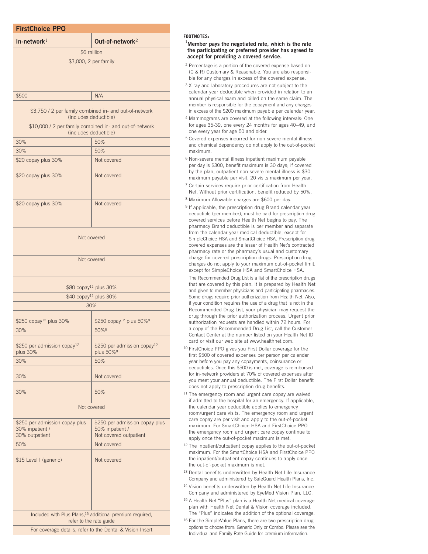| <b>FirstChoice PPO</b>                                                               |                                                                                 |  |
|--------------------------------------------------------------------------------------|---------------------------------------------------------------------------------|--|
| In-network $1$                                                                       | $Q$ ut-of-network <sup>2</sup>                                                  |  |
|                                                                                      | \$6 million                                                                     |  |
|                                                                                      | \$3,000, 2 per family                                                           |  |
|                                                                                      |                                                                                 |  |
|                                                                                      |                                                                                 |  |
| \$500                                                                                | N/A                                                                             |  |
|                                                                                      |                                                                                 |  |
|                                                                                      | \$3,750 / 2 per family combined in- and out-of-network<br>(includes deductible) |  |
| \$10,000 / 2 per family combined in- and out-of-network                              |                                                                                 |  |
| (includes deductible)<br>50%                                                         |                                                                                 |  |
| 30%<br>30%                                                                           | 50%                                                                             |  |
| \$20 copay plus 30%                                                                  | Not covered                                                                     |  |
|                                                                                      |                                                                                 |  |
| \$20 copay plus 30%                                                                  | Not covered                                                                     |  |
|                                                                                      |                                                                                 |  |
| \$20 copay plus 30%                                                                  | Not covered                                                                     |  |
|                                                                                      |                                                                                 |  |
|                                                                                      |                                                                                 |  |
|                                                                                      | Not covered                                                                     |  |
|                                                                                      |                                                                                 |  |
|                                                                                      | Not covered                                                                     |  |
|                                                                                      |                                                                                 |  |
|                                                                                      |                                                                                 |  |
|                                                                                      | \$80 copay <sup>11</sup> plus 30%                                               |  |
|                                                                                      | \$40 copay <sup>11</sup> plus 30%                                               |  |
|                                                                                      | 30%                                                                             |  |
| \$250 copay <sup>12</sup> plus 30%                                                   | \$250 copay <sup>12</sup> plus 50% <sup>8</sup>                                 |  |
| 30%                                                                                  | 50%8                                                                            |  |
| \$250 per admission copay <sup>12</sup>                                              | \$250 per admission copay <sup>12</sup>                                         |  |
| plus 30%                                                                             | plus 50% <sup>8</sup>                                                           |  |
| 30%                                                                                  | 50%                                                                             |  |
| 30%                                                                                  | Not covered                                                                     |  |
|                                                                                      |                                                                                 |  |
| 30%                                                                                  | 50%                                                                             |  |
| Not covered                                                                          |                                                                                 |  |
| \$250 per admission copay plus                                                       | \$250 per admission copay plus                                                  |  |
| 30% inpatient /                                                                      | 50% inpatient /                                                                 |  |
| 30% outpatient<br>50%                                                                | Not covered outpatient                                                          |  |
|                                                                                      | Not covered                                                                     |  |
| \$15 Level I (generic)                                                               | Not covered                                                                     |  |
|                                                                                      |                                                                                 |  |
|                                                                                      |                                                                                 |  |
|                                                                                      |                                                                                 |  |
|                                                                                      |                                                                                 |  |
|                                                                                      | Included with Plus Plans, <sup>15</sup> additional premium required,            |  |
| refer to the rate guide<br>For coverage details, refer to the Dental & Vision Insert |                                                                                 |  |
|                                                                                      |                                                                                 |  |

#### **FOOTNOTES:**

#### 1 **Member pays the negotiated rate, which is the rate the participating or preferred provider has agreed to accept for providing a covered service.**

- <sup>2</sup> Percentage is a portion of the covered expense based on (C & R) Customary & Reasonable. You are also responsible for any charges in excess of the covered expense.
- <sup>3</sup> X-ray and laboratory procedures are not subject to the calendar year deductible when provided in relation to an annual physical exam and billed on the same claim. The member is responsible for the copayment and any charges in excess of the \$200 maximum payable per calendar year.
- <sup>4</sup> Mammograms are covered at the following intervals: One for ages 35-39, one every 24 months for ages 40–49, and one every year for age 50 and older.
- <sup>5</sup> Covered expenses incurred for non-severe mental illness and chemical dependency do not apply to the out-of-pocket maximum.
- <sup>6</sup> Non-severe mental illness inpatient maximum payable per day is \$300, benefit maximum is 30 days; if covered by the plan, outpatient non-severe mental illness is \$30 maximum payable per visit, 20 visits maximum per year.
- <sup>7</sup> Certain services require prior certification from Health Net. Without prior certification, benefit reduced by 50%.
- <sup>8</sup> Maximum Allowable charges are \$600 per day.

<sup>9</sup> If applicable, the prescription drug Brand calendar year deductible (per member), must be paid for prescription drug covered services before Health Net begins to pay. The pharmacy Brand deductible is per member and separate from the calendar year medical deductible, except for SimpleChoice HSA and SmartChoice HSA. Prescription drug covered expenses are the lesser of Health Net's contracted pharmacy rate or the pharmacy's usual and customary charge for covered prescription drugs. Prescription drug charges do not apply to your maximum out-of-pocket limit, except for SimpleChoice HSA and SmartChoice HSA.

The Recommended Drug List is a list of the prescription drugs that are covered by this plan. It is prepared by Health Net and given to member physicians and participating pharmacies. Some drugs require prior authorization from Health Net. Also, if your condition requires the use of a drug that is not in the Recommended Drug List, your physician may request the drug through the prior authorization process. Urgent prior authorization requests are handled within 72 hours. For a copy of the Recommended Drug List, call the Customer Contact Center at the number listed on your Health Net ID card or visit our web site at www.healthnet.com.

- <sup>10</sup> FirstChoice PPO gives you First Dollar coverage for the first \$500 of covered expenses per person per calendar year before you pay any copayments, coinsurance or deductibles. Once this \$500 is met, coverage is reimbursed for in-network providers at 70% of covered expenses after you meet your annual deductible. The First Dollar benefit does not apply to prescription drug benefits.
- <sup>11</sup> The emergency room and urgent care copay are waived if admitted to the hospital for an emergency. If applicable, the calendar year deductible applies to emergency room/urgent care visits. The emergency room and urgent care copay are per visit and apply to the out-of-pocket maximum. For SmartChoice HSA and FirstChoice PPO the emergency room and urgent care copay continue to apply once the out-of-pocket maximum is met.
- <sup>12</sup> The inpatient/outpatient copay applies to the out-of-pocket maximum. For the SmartChoice HSA and FirstChoice PPO the inpatient/outpatient copay continues to apply once the out-of-pocket maximum is met.
- 13 Dental benefits underwritten by Health Net Life Insurance Company and administered by SafeGuard Health Plans, Inc.
- <sup>14</sup> Vision benefits underwritten by Health Net Life Insurance Company and administered by EyeMed Vision Plan, LLC.
- <sup>15</sup> A Health Net "Plus" plan is a Health Net medical coverage plan with Health Net Dental & Vision coverage included. The "Plus" indicates the addition of the optional coverage.
- <sup>16</sup> For the SimpleValue Plans, there are two prescription drug options to choose from: Generic Only or Combo. Please see the Individual and Family Rate Guide for premium information.